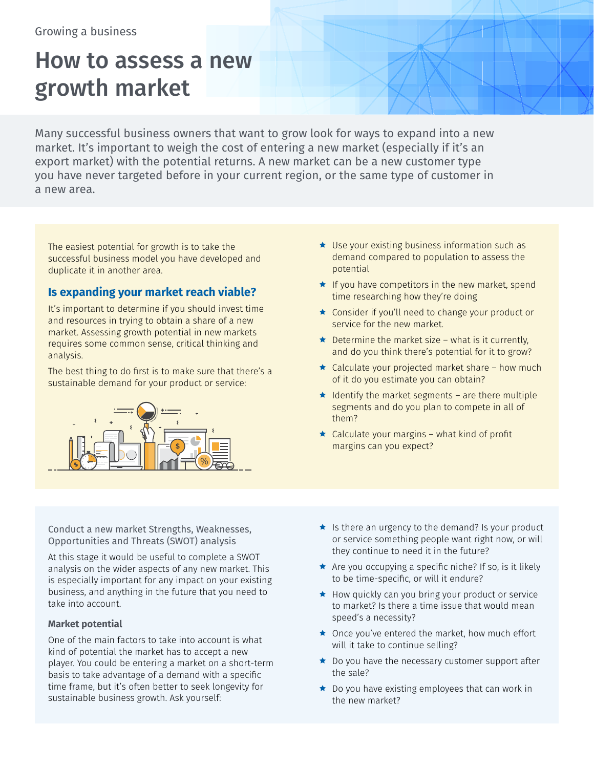# How to assess a new growth market

Many successful business owners that want to grow look for ways to expand into a new market. It's important to weigh the cost of entering a new market (especially if it's an export market) with the potential returns. A new market can be a new customer type you have never targeted before in your current region, or the same type of customer in a new area.

The easiest potential for growth is to take the successful business model you have developed and duplicate it in another area.

## **Is expanding your market reach viable?**

It's important to determine if you should invest time and resources in trying to obtain a share of a new market. Assessing growth potential in new markets requires some common sense, critical thinking and analysis.

The best thing to do first is to make sure that there's a sustainable demand for your product or service:



- $\star$  Use your existing business information such as demand compared to population to assess the potential
- $\star$  If you have competitors in the new market, spend time researching how they're doing
- $\star$  Consider if you'll need to change your product or service for the new market.
- $\bigstar$  Determine the market size what is it currently, and do you think there's potential for it to grow?
- $\star$  Calculate your projected market share how much of it do you estimate you can obtain?
- $\star$  Identify the market segments are there multiple segments and do you plan to compete in all of them?
- $\star$  Calculate your margins what kind of profit margins can you expect?

Conduct a new market Strengths, Weaknesses, Opportunities and Threats (SWOT) analysis

At this stage it would be useful to complete a SWOT analysis on the wider aspects of any new market. This is especially important for any impact on your existing business, and anything in the future that you need to take into account.

#### **Market potential**

One of the main factors to take into account is what kind of potential the market has to accept a new player. You could be entering a market on a short-term basis to take advantage of a demand with a specific time frame, but it's often better to seek longevity for sustainable business growth. Ask yourself:

- $\star$  Is there an urgency to the demand? Is your product or service something people want right now, or will they continue to need it in the future?
- $\star$  Are you occupying a specific niche? If so, is it likely to be time-specific, or will it endure?
- $\star$  How quickly can you bring your product or service to market? Is there a time issue that would mean speed's a necessity?
- $\star$  Once you've entered the market, how much effort will it take to continue selling?
- $\star$  Do you have the necessary customer support after the sale?
- $\star$  Do you have existing employees that can work in the new market?